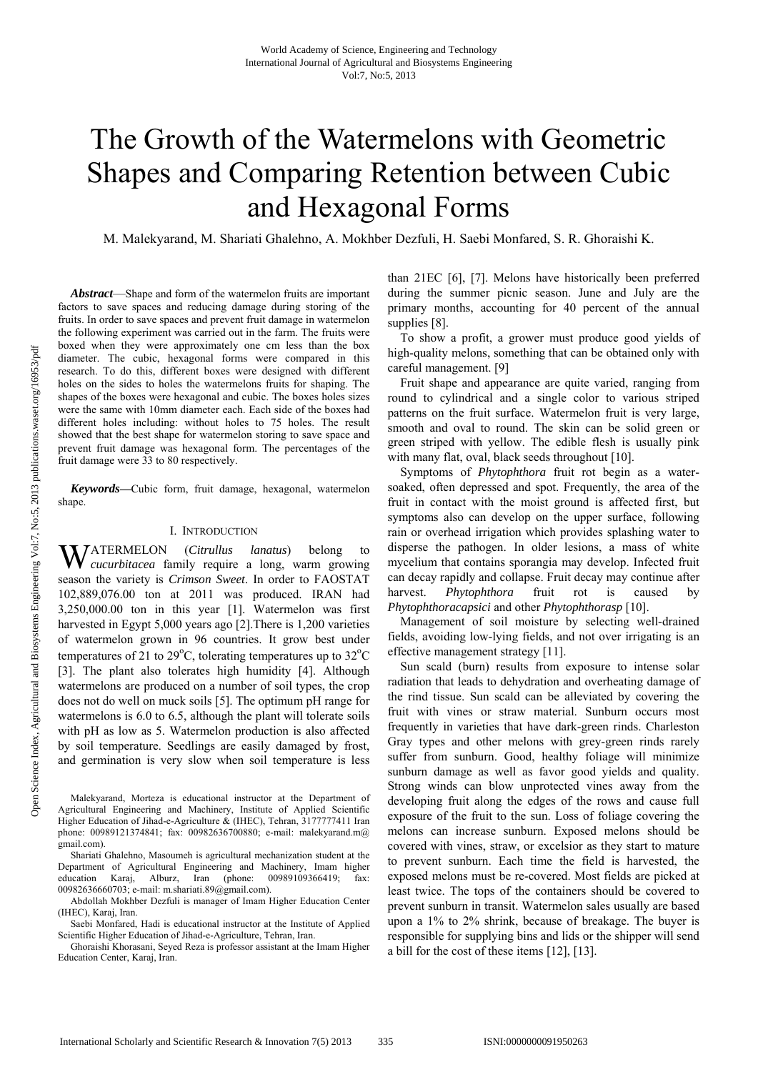# The Growth of the Watermelons with Geometric Shapes and Comparing Retention between Cubic and Hexagonal Forms

M. Malekyarand, M. Shariati Ghalehno, A. Mokhber Dezfuli, H. Saebi Monfared, S. R. Ghoraishi K.

*Abstract*—Shape and form of the watermelon fruits are important factors to save spaces and reducing damage during storing of the fruits. In order to save spaces and prevent fruit damage in watermelon the following experiment was carried out in the farm. The fruits were boxed when they were approximately one cm less than the box diameter. The cubic, hexagonal forms were compared in this research. To do this, different boxes were designed with different holes on the sides to holes the watermelons fruits for shaping. The shapes of the boxes were hexagonal and cubic. The boxes holes sizes were the same with 10mm diameter each. Each side of the boxes had different holes including: without holes to 75 holes. The result showed that the best shape for watermelon storing to save space and prevent fruit damage was hexagonal form. The percentages of the fruit damage were 33 to 80 respectively.

*Keywords***—**Cubic form, fruit damage, hexagonal, watermelon shape.

### I. INTRODUCTION

ATERMELON (*Citrullus lanatus*) belong to W *cucurbitacea* family require a long, warm growing season the variety is *Crimson Sweet*. In order to FAOSTAT 102,889,076.00 ton at 2011 was produced. IRAN had 3,250,000.00 ton in this year [1]. Watermelon was first harvested in Egypt 5,000 years ago [2]. There is 1,200 varieties of watermelon grown in 96 countries. It grow best under temperatures of 21 to 29 $^{\circ}$ C, tolerating temperatures up to 32 $^{\circ}$ C [3]. The plant also tolerates high humidity [4]. Although watermelons are produced on a number of soil types, the crop does not do well on muck soils [5]. The optimum pH range for watermelons is 6.0 to 6.5, although the plant will tolerate soils with pH as low as 5. Watermelon production is also affected by soil temperature. Seedlings are easily damaged by frost, and germination is very slow when soil temperature is less

than 21EC [6], [7]. Melons have historically been preferred during the summer picnic season. June and July are the primary months, accounting for 40 percent of the annual supplies [8].

To show a profit, a grower must produce good yields of high-quality melons, something that can be obtained only with careful management. [9]

Fruit shape and appearance are quite varied, ranging from round to cylindrical and a single color to various striped patterns on the fruit surface. Watermelon fruit is very large, smooth and oval to round. The skin can be solid green or green striped with yellow. The edible flesh is usually pink with many flat, oval, black seeds throughout [10].

Symptoms of *Phytophthora* fruit rot begin as a watersoaked, often depressed and spot. Frequently, the area of the fruit in contact with the moist ground is affected first, but symptoms also can develop on the upper surface, following rain or overhead irrigation which provides splashing water to disperse the pathogen. In older lesions, a mass of white mycelium that contains sporangia may develop. Infected fruit can decay rapidly and collapse. Fruit decay may continue after harvest. *Phytophthora* fruit rot is caused by *Phytophthoracapsici* and other *Phytophthorasp* [10].

Management of soil moisture by selecting well-drained fields, avoiding low-lying fields, and not over irrigating is an effective management strategy [11].

Sun scald (burn) results from exposure to intense solar radiation that leads to dehydration and overheating damage of the rind tissue. Sun scald can be alleviated by covering the fruit with vines or straw material. Sunburn occurs most frequently in varieties that have dark-green rinds. Charleston Gray types and other melons with grey-green rinds rarely suffer from sunburn. Good, healthy foliage will minimize sunburn damage as well as favor good yields and quality. Strong winds can blow unprotected vines away from the developing fruit along the edges of the rows and cause full exposure of the fruit to the sun. Loss of foliage covering the melons can increase sunburn. Exposed melons should be covered with vines, straw, or excelsior as they start to mature to prevent sunburn. Each time the field is harvested, the exposed melons must be re-covered. Most fields are picked at least twice. The tops of the containers should be covered to prevent sunburn in transit. Watermelon sales usually are based upon a 1% to 2% shrink, because of breakage. The buyer is responsible for supplying bins and lids or the shipper will send a bill for the cost of these items [12], [13].

Malekyarand, Morteza is educational instructor at the Department of Agricultural Engineering and Machinery, Institute of Applied Scientific Higher Education of Jihad-e-Agriculture & (IHEC), Tehran, 3177777411 Iran phone: 00989121374841; fax: 00982636700880; e-mail: malekyarand.m@ gmail.com).

Shariati Ghalehno, Masoumeh is agricultural mechanization student at the Department of Agricultural Engineering and Machinery, Imam higher education Karaj, Alburz, Iran (phone: 00989109366419; fax: 00982636660703; e-mail: m.shariati.89@gmail.com).

Abdollah Mokhber Dezfuli is manager of Imam Higher Education Center (IHEC), Karaj, Iran.

Saebi Monfared, Hadi is educational instructor at the Institute of Applied Scientific Higher Education of Jihad-e-Agriculture, Tehran, Iran.

Ghoraishi Khorasani, Seyed Reza is professor assistant at the Imam Higher Education Center, Karaj, Iran.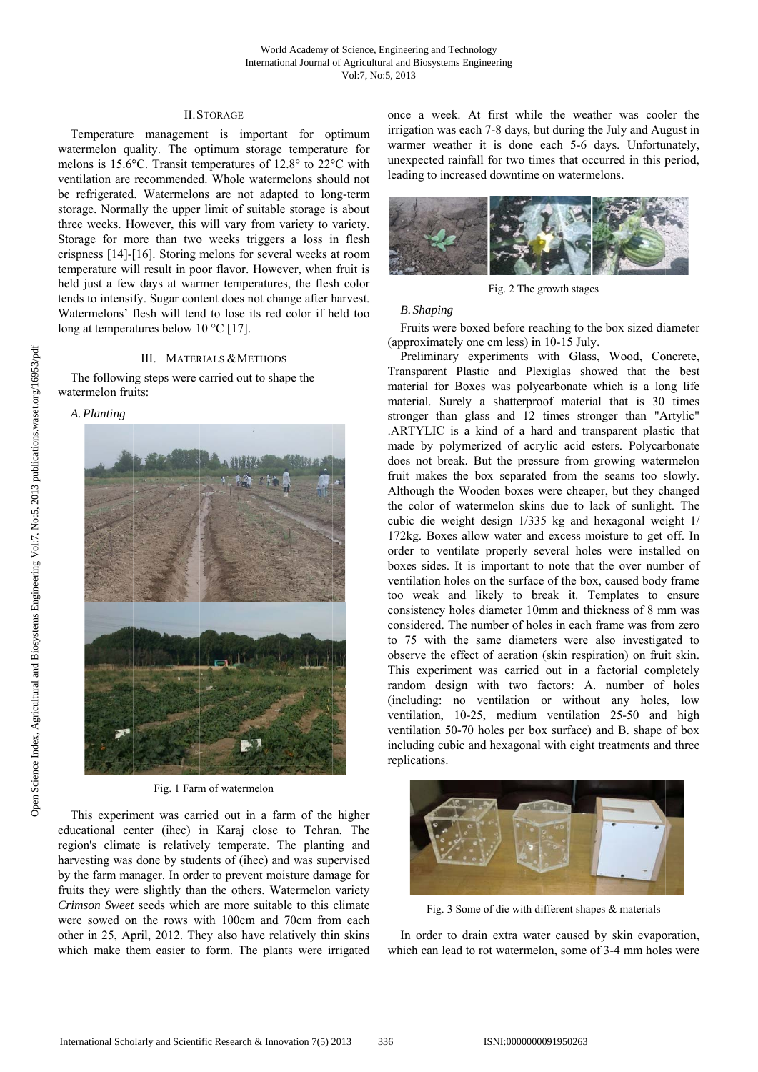### **II.STORAGE**

Temperature management is important for optimum watermelon quality. The optimum storage temperature for melons is 15.6°C. Transit temperatures of 12.8° to 22°C with ventilation are recommended. Whole watermelons should not be refrigerated. Watermelons are not adapted to long-term storage. Normally the upper limit of suitable storage is about three weeks. However, this will vary from variety to variety. Storage for more than two weeks triggers a loss in flesh crispness [14]-[16]. Storing melons for several weeks at room temperature will result in poor flavor. However, when fruit is held just a few days at warmer temperatures, the flesh color tends to intensify. Sugar content does not change after harvest. Watermelons' flesh will tend to lose its red color if held too long at temperatures below 10  $^{\circ}$ C [17].

#### III. MATERIALS & METHODS

The following steps were carried out to shape the watermelon fruits:

## A. Planting



Fig. 1 Farm of watermelon

This experiment was carried out in a farm of the higher educational center (ihec) in Karaj close to Tehran. The region's climate is relatively temperate. The planting and harvesting was done by students of (ihec) and was supervised by the farm manager. In order to prevent moisture damage for fruits they were slightly than the others. Watermelon variety Crimson Sweet seeds which are more suitable to this climate were sowed on the rows with 100cm and 70cm from each other in 25, April, 2012. They also have relatively thin skins which make them easier to form. The plants were irrigated once a week. At first while the weather was cooler the irrigation was each 7-8 days, but during the July and August in warmer weather it is done each 5-6 days. Unfortunately, unexpected rainfall for two times that occurred in this period, leading to increased downtime on watermelons.



Fig. 2 The growth stages

# **B.** Shaping

Fruits were boxed before reaching to the box sized diameter (approximately one cm less) in 10-15 July.

Preliminary experiments with Glass, Wood, Concrete, Transparent Plastic and Plexiglas showed that the best material for Boxes was polycarbonate which is a long life material. Surely a shatterproof material that is 30 times stronger than glass and 12 times stronger than "Artylic" .ARTYLIC is a kind of a hard and transparent plastic that made by polymerized of acrylic acid esters. Polycarbonate does not break. But the pressure from growing watermelon fruit makes the box separated from the seams too slowly. Although the Wooden boxes were cheaper, but they changed the color of watermelon skins due to lack of sunlight. The cubic die weight design 1/335 kg and hexagonal weight 1/ 172kg. Boxes allow water and excess moisture to get off. In order to ventilate properly several holes were installed on boxes sides. It is important to note that the over number of ventilation holes on the surface of the box, caused body frame too weak and likely to break it. Templates to ensure consistency holes diameter 10mm and thickness of 8 mm was considered. The number of holes in each frame was from zero to 75 with the same diameters were also investigated to observe the effect of aeration (skin respiration) on fruit skin. This experiment was carried out in a factorial completely random design with two factors: A. number of holes (including: no ventilation or without any holes, low ventilation, 10-25, medium ventilation 25-50 and high ventilation 50-70 holes per box surface) and B. shape of box including cubic and hexagonal with eight treatments and three replications.



Fig. 3 Some of die with different shapes & materials

In order to drain extra water caused by skin evaporation, which can lead to rot watermelon, some of 3-4 mm holes were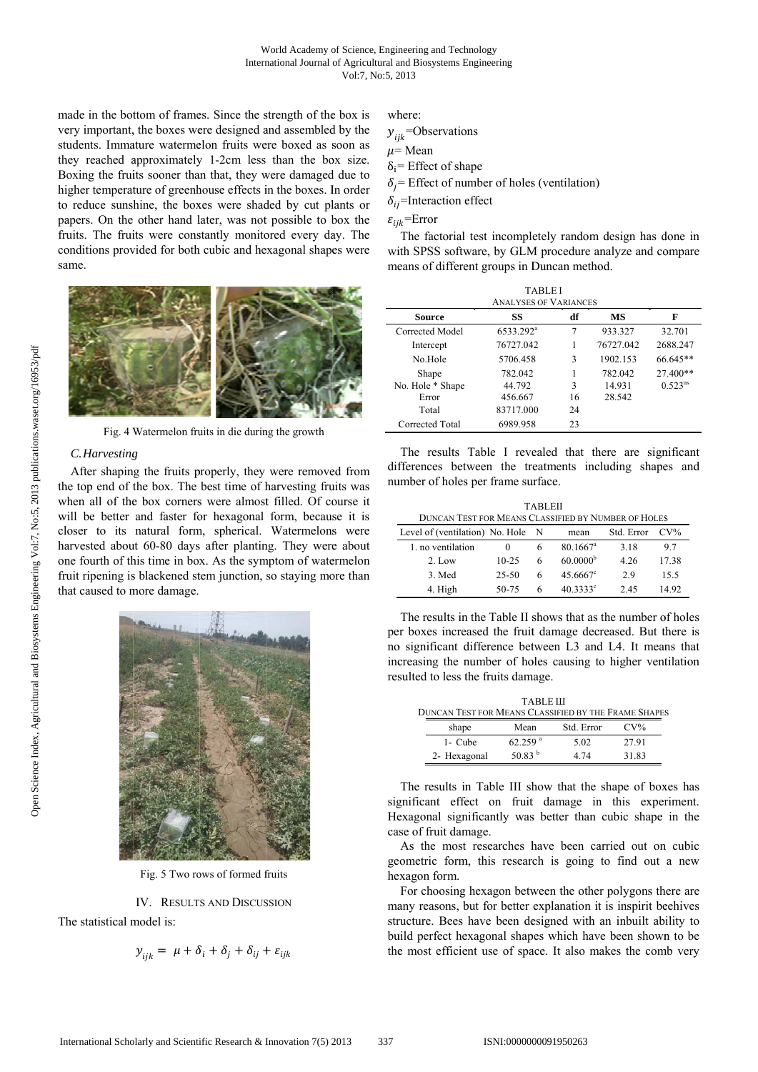made in the bottom of frames. Since the strength of the box is very important, the boxes were designed and assembled by the students. Immature watermelon fruits were boxed as soon as they reached approximately 1-2cm less than the box size. Boxing the fruits sooner than that, they were damaged due to higher temperature of greenhouse effects in the boxes. In order to reduce sunshine, the boxes were shaded by cut plants or papers. On the other hand later, was not possible to box the fruits. The fruits were constantly monitored every day. The conditions provided for both cubic and hexagonal shapes were same.



Fig. 4 Watermelon fruits in die during the growth

# C. Harvesting

After shaping the fruits properly, they were removed from the top end of the box. The best time of harvesting fruits was when all of the box corners were almost filled. Of course it will be better and faster for hexagonal form, because it is closer to its natural form, spherical. Watermelons were harvested about 60-80 days after planting. They were about one fourth of this time in box. As the symptom of watermelon fruit ripening is blackened stem junction, so staying more than that caused to more damage.



Fig. 5 Two rows of formed fruits

IV. RESULTS AND DISCUSSION The statistical model is:

$$
y_{ijk} = \mu + \delta_i + \delta_j + \delta_{ij} + \varepsilon_{ijk}
$$

where<sup>-</sup>

```
y_{ijk}=Observations
u = \text{Mean}\delta_i= Effect of shape
\delta_i= Effect of number of holes (ventilation)
\delta_{ij}=Interaction effect
```
 $\varepsilon_{ijk}$ =Error

The factorial test incompletely random design has done in with SPSS software, by GLM procedure analyze and compare means of different groups in Duncan method.

| <b>TABLEI</b><br><b>ANALYSES OF VARIANCES</b> |                       |    |           |              |  |
|-----------------------------------------------|-----------------------|----|-----------|--------------|--|
| Source                                        | SS                    | df | MS        | F            |  |
| Corrected Model                               | 6533.292 <sup>a</sup> | 7  | 933.327   | 32.701       |  |
| Intercept                                     | 76727.042             |    | 76727.042 | 2688.247     |  |
| No Hole                                       | 5706.458              | 3  | 1902.153  | 66.645**     |  |
| Shape                                         | 782.042               |    | 782.042   | 27.400**     |  |
| No. Hole * Shape                              | 44.792                | 3  | 14.931    | $0.523^{ns}$ |  |
| Error                                         | 456.667               | 16 | 28.542    |              |  |
| Total                                         | 83717.000             | 24 |           |              |  |
| Corrected Total                               | 6989.958              | 23 |           |              |  |

The results Table I revealed that there are significant differences between the treatments including shapes and number of holes per frame surface.

| TABLEII<br><b>DUNCAN TEST FOR MEANS CLASSIFIED BY NUMBER OF HOLES</b> |           |   |                        |            |        |  |
|-----------------------------------------------------------------------|-----------|---|------------------------|------------|--------|--|
| Level of (ventilation) No. Hole N                                     |           |   | mean                   | Std. Error | $CV\%$ |  |
| 1. no ventilation                                                     | $\theta$  | 6 | $80.1667$ <sup>a</sup> | 3.18       | 97     |  |
| $2.$ Low                                                              | $10 - 25$ | 6 | 60.0000 <sup>b</sup>   | 4.26       | 17.38  |  |
| 3. Med                                                                | 25-50     | 6 | $45.6667$ <sup>c</sup> | 29         | 15.5   |  |
| 4. High                                                               | 50-75     | 6 | 40.3333c               | 2.45       | 14.92  |  |

The results in the Table II shows that as the number of holes per boxes increased the fruit damage decreased. But there is no significant difference between L3 and L4. It means that increasing the number of holes causing to higher ventilation resulted to less the fruits damage.

| <b>TABLE III</b><br><b>DUNCAN TEST FOR MEANS CLASSIFIED BY THE FRAME SHAPES</b> |              |                       |            |        |  |
|---------------------------------------------------------------------------------|--------------|-----------------------|------------|--------|--|
|                                                                                 | shape        | Mean                  | Std. Error | $CV\%$ |  |
|                                                                                 | 1- Cube      | $62.259$ <sup>a</sup> | 5.02       | 27.91  |  |
|                                                                                 | 2- Hexagonal | 50.83 $^{\rm b}$      | 4 74       | 31.83  |  |

The results in Table III show that the shape of boxes has significant effect on fruit damage in this experiment. Hexagonal significantly was better than cubic shape in the case of fruit damage.

As the most researches have been carried out on cubic geometric form, this research is going to find out a new hexagon form.

For choosing hexagon between the other polygons there are many reasons, but for better explanation it is inspirit beehives structure. Bees have been designed with an inbuilt ability to build perfect hexagonal shapes which have been shown to be the most efficient use of space. It also makes the comb very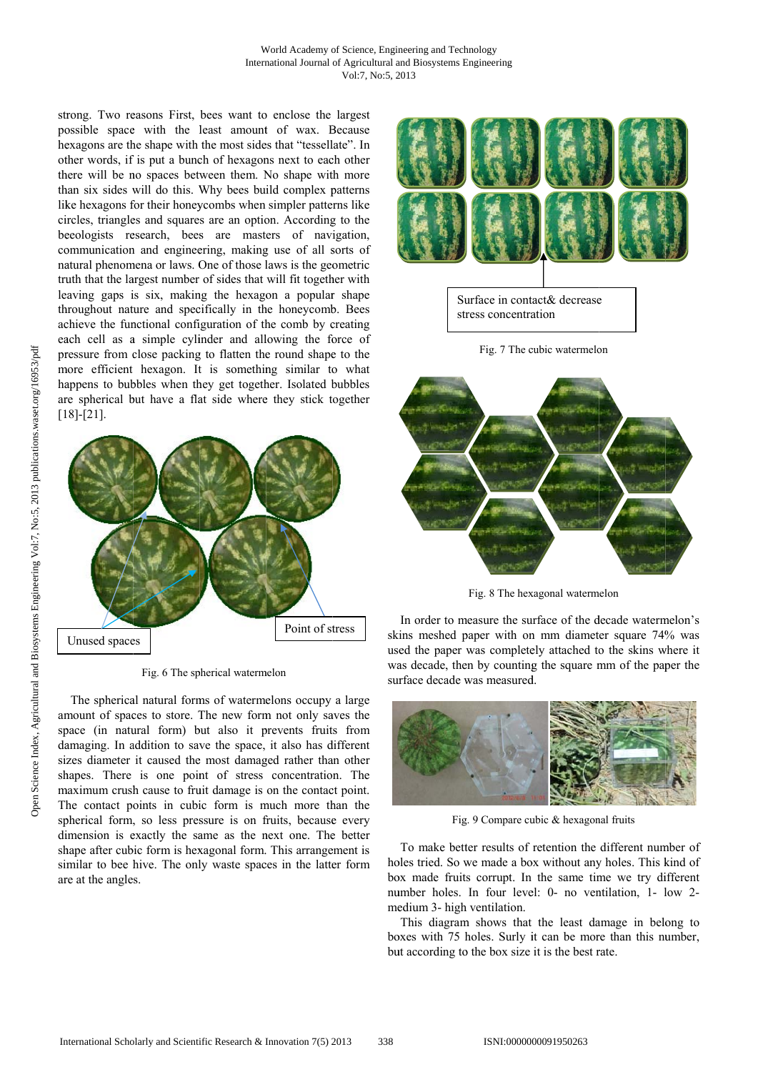strong. Two reasons First, bees want to enclose the largest possible space with the least amount of wax. Because hexagons are the shape with the most sides that "tessellate". In other words, if is put a bunch of hexagons next to each other there will be no spaces between them. No shape with more than six sides will do this. Why bees build complex patterns like hexagons for their honeycombs when simpler patterns like circles, triangles and squares are an option. According to the beeologists research, bees are masters of navigation, communication and engineering, making use of all sorts of natural phenomena or laws. One of those laws is the geometric truth that the largest number of sides that will fit together with leaving gaps is six, making the hexagon a popular shape throughout nature and specifically in the honeycomb. Bees achieve the functional configuration of the comb by creating each cell as a simple cylinder and allowing the force of pressure from close packing to flatten the round shape to the more efficient hexagon. It is something similar to what happens to bubbles when they get together. Isolated bubbles are spherical but have a flat side where they stick together  $[18]-[21]$ .



Fig. 6 The spherical watermelon

The spherical natural forms of watermelons occupy a large amount of spaces to store. The new form not only saves the space (in natural form) but also it prevents fruits from damaging. In addition to save the space, it also has different sizes diameter it caused the most damaged rather than other shapes. There is one point of stress concentration. The maximum crush cause to fruit damage is on the contact point. The contact points in cubic form is much more than the spherical form, so less pressure is on fruits, because every dimension is exactly the same as the next one. The better shape after cubic form is hexagonal form. This arrangement is similar to bee hive. The only waste spaces in the latter form are at the angles.



Fig. 7 The cubic watermelon



Fig. 8 The hexagonal watermelon

In order to measure the surface of the decade watermelon's skins meshed paper with on mm diameter square 74% was used the paper was completely attached to the skins where it was decade, then by counting the square mm of the paper the surface decade was measured.



Fig. 9 Compare cubic & hexagonal fruits

To make better results of retention the different number of holes tried. So we made a box without any holes. This kind of box made fruits corrupt. In the same time we try different number holes. In four level: 0- no ventilation, 1- low 2medium 3- high ventilation.

This diagram shows that the least damage in belong to boxes with 75 holes. Surly it can be more than this number, but according to the box size it is the best rate.